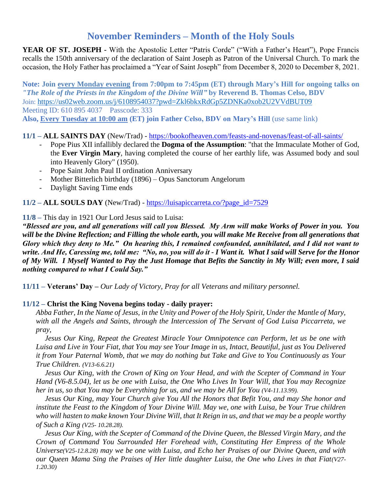# **November Reminders – Month of the Holy Souls**

**YEAR OF ST. JOSEPH -** With the Apostolic Letter "Patris Corde" ("With a Father's Heart"), Pope Francis recalls the 150th anniversary of the declaration of Saint Joseph as Patron of the Universal Church. To mark the occasion, the Holy Father has proclaimed a "Year of Saint Joseph" from December 8, 2020 to December 8, 2021.

**Note: Join every Monday evening from 7:00pm to 7:45pm (ET) through Mary's Hill for ongoing talks on**  *"The Role of the Priests in the Kingdom of the Divine Will"* **by Reverend B. Thomas Celso, BDV** Join: [https://us02web.zoom.us/j/6108954037?pwd=Zkl6bkxRdGp5ZDNKa0xob2U2VVdBUT09](https://na01.safelinks.protection.outlook.com/?url=https%3A%2F%2Fwww.google.com%2Furl%3Fq%3Dhttps%3A%2F%2Fus02web.zoom.us%2Fj%2F6108954037%3Fpwd%253DZkl6bkxRdGp5ZDNKa0xob2U2VVdBUT09%26sa%3DD%26source%3Dcalendar%26ust%3D1601847677486000%26usg%3DAOvVaw1W6iaWwiF-hLYnYU1tzjgI&data=04%7C01%7C%7C2ca8dc89dd6f40517d9308d9816e17b9%7C84df9e7fe9f640afb435aaaaaaaaaaaa%7C1%7C0%7C637683132149295360%7CUnknown%7CTWFpbGZsb3d8eyJWIjoiMC4wLjAwMDAiLCJQIjoiV2luMzIiLCJBTiI6Ik1haWwiLCJXVCI6Mn0%3D%7C1000&sdata=vjNJnYOlmRcbw81J0NqrUL%2FaBta%2Fq0XTGD25QOpOluA%3D&reserved=0) Meeting ID: 610 895 4037 Passcode: 333 **Also, Every Tuesday at 10:00 am (ET) join Father Celso, BDV on Mary's Hill** (use same link)

## **11/1 – ALL SAINTS DAY** (New/Trad) - <https://bookofheaven.com/feasts-and-novenas/feast-of-all-saints/>

- Pope Pius XII infallibly declared the **Dogma of the Assumption**: "that the Immaculate Mother of God, the **Ever Virgin Mary**, having completed the course of her earthly life, was Assumed body and soul into Heavenly Glory" (1950).
- Pope Saint John Paul II ordination Anniversary
- Mother Bitterlich birthday (1896) Opus Sanctorum Angelorum
- Daylight Saving Time ends

**11/2 – ALL SOULS DAY** (New/Trad) - [https://luisapiccarreta.co/?page\\_id=7529](https://luisapiccarreta.co/?page_id=7529)

#### **11/8 –** This day in 1921 Our Lord Jesus said to Luisa:

*"Blessed are you, and all generations will call you Blessed. My Arm will make Works of Power in you. You will be the Divine Reflection; and Filling the whole earth, you will make Me Receive from all generations that Glory which they deny to Me." On hearing this, I remained confounded, annihilated, and I did not want to write. And He, Caressing me, told me: "No, no, you will do it - I Want it. What I said will Serve for the Honor of My Will. I Myself Wanted to Pay the Just Homage that Befits the Sanctity in My Will; even more, I said nothing compared to what I Could Say."*

**11/11 – Veterans' Day –** *Our Lady of Victory, Pray for all Veterans and military personnel.*

## **11/12 – Christ the King Novena begins today - daily prayer:**

*Abba Father, In the Name of Jesus, in the Unity and Power of the Holy Spirit, Under the Mantle of Mary, with all the Angels and Saints, through the Intercession of The Servant of God Luisa Piccarreta, we pray,*

*Jesus Our King, Repeat the Greatest Miracle Your Omnipotence can Perform, let us be one with Luisa and Live in Your Fiat, that You may see Your Image in us, Intact, Beautiful, just as You Delivered it from Your Paternal Womb, that we may do nothing but Take and Give to You Continuously as Your True Children. (V13-6.6.21)*

*Jesus Our King, with the Crown of King on Your Head, and with the Scepter of Command in Your Hand (V6-8.5.04), let us be one with Luisa, the One Who Lives In Your Will, that You may Recognize*  her in us, so that You may be Everything for us, and we may be All for You (V4-11.13.99).

*Jesus Our King, may Your Church give You All the Honors that Befit You, and may She honor and institute the Feast to the Kingdom of Your Divine Will. May we, one with Luisa, be Your True children who will hasten to make known Your Divine Will, that It Reign in us, and that we may be a people worthy of Such a King (V25- 10.28.28).*

*Jesus Our King, with the Scepter of Command of the Divine Queen, the Blessed Virgin Mary, and the Crown of Command You Surrounded Her Forehead with, Constituting Her Empress of the Whole Universe(V25-12.8.28) may we be one with Luisa, and Echo her Praises of our Divine Queen, and with our Queen Mama Sing the Praises of Her little daughter Luisa, the One who Lives in that Fiat(V27- 1.20.30)*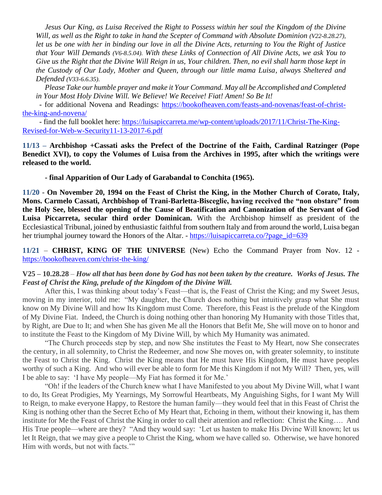*Jesus Our King, as Luisa Received the Right to Possess within her soul the Kingdom of the Divine Will, as well as the Right to take in hand the Scepter of Command with Absolute Dominion (V22-8.28.27), let us be one with her in binding our love in all the Divine Acts, returning to You the Right of Justice that Your Will Demands (V6-8.5.04). With these Links of Connection of All Divine Acts, we ask You to Give us the Right that the Divine Will Reign in us, Your children. Then, no evil shall harm those kept in the Custody of Our Lady, Mother and Queen, through our little mama Luisa, always Sheltered and Defended (V33-6.6.35).*

*Please Take our humble prayer and make it Your Command. May all be Accomplished and Completed in Your Most Holy Divine Will. We Believe! We Receive! Fiat! Amen! So Be It!*

 - for additional Novena and Readings: [https://bookofheaven.com/feasts-and-novenas/feast-of-christ](https://bookofheaven.com/feasts-and-novenas/feast-of-christ-the-king-and-novena/)[the-king-and-novena/](https://bookofheaven.com/feasts-and-novenas/feast-of-christ-the-king-and-novena/)

 - find the full booklet here: [https://luisapiccarreta.me/wp-content/uploads/2017/11/Christ-The-King-](https://luisapiccarreta.me/wp-content/uploads/2017/11/Christ-The-King-Revised-for-Web-w-Security11-13-2017-6.pdf)[Revised-for-Web-w-Security11-13-2017-6.pdf](https://luisapiccarreta.me/wp-content/uploads/2017/11/Christ-The-King-Revised-for-Web-w-Security11-13-2017-6.pdf)

**11/13 – Archbishop +Cassati asks the Prefect of the Doctrine of the Faith, Cardinal Ratzinger (Pope Benedict XVI), to copy the Volumes of Luisa from the Archives in 1995, after which the writings were released to the world.**

**- final Apparition of Our Lady of Garabandal to Conchita (1965).**

**11/20** - **On November 20, 1994 on the Feast of Christ the King, in the Mother Church of Corato, Italy, Mons. Carmelo Cassati, Archbishop of Trani-Barletta-Bisceglie, having received the "non obstare" from the Holy See, blessed the opening of the Cause of Beatification and Canonization of the Servant of God Luisa Piccarreta, secular third order Dominican.** With the Archbishop himself as president of the Ecclesiastical Tribunal, joined by enthusiastic faithful from southern Italy and from around the world, Luisa began her triumphal journey toward the Honors of the Altar. - [https://luisapiccarreta.co/?page\\_id=639](https://luisapiccarreta.co/?page_id=639)

**11/21** – **CHRIST, KING OF THE UNIVERSE** (New) Echo the Command Prayer from Nov. 12 <https://bookofheaven.com/christ-the-king/>

#### **V25 – 10.28.28** – *How all that has been done by God has not been taken by the creature. Works of Jesus. The Feast of Christ the King, prelude of the Kingdom of the Divine Will.*

After this, I was thinking about today's Feast—that is, the Feast of Christ the King; and my Sweet Jesus, moving in my interior, told me: "My daughter, the Church does nothing but intuitively grasp what She must know on My Divine Will and how Its Kingdom must Come. Therefore, this Feast is the prelude of the Kingdom of My Divine Fiat. Indeed, the Church is doing nothing other than honoring My Humanity with those Titles that, by Right, are Due to It; and when She has given Me all the Honors that Befit Me, She will move on to honor and to institute the Feast to the Kingdom of My Divine Will, by which My Humanity was animated.

"The Church proceeds step by step, and now She institutes the Feast to My Heart, now She consecrates the century, in all solemnity, to Christ the Redeemer, and now She moves on, with greater solemnity, to institute the Feast to Christ the King. Christ the King means that He must have His Kingdom, He must have peoples worthy of such a King. And who will ever be able to form for Me this Kingdom if not My Will? Then, yes, will I be able to say: 'I have My people—My Fiat has formed it for Me.'

"Oh! if the leaders of the Church knew what I have Manifested to you about My Divine Will, what I want to do, Its Great Prodigies, My Yearnings, My Sorrowful Heartbeats, My Anguishing Sighs, for I want My Will to Reign, to make everyone Happy, to Restore the human family—they would feel that in this Feast of Christ the King is nothing other than the Secret Echo of My Heart that, Echoing in them, without their knowing it, has them institute for Me the Feast of Christ the King in order to call their attention and reflection: Christ the King…. And His True people—where are they? "And they would say: 'Let us hasten to make His Divine Will known; let us let It Reign, that we may give a people to Christ the King, whom we have called so. Otherwise, we have honored Him with words, but not with facts."